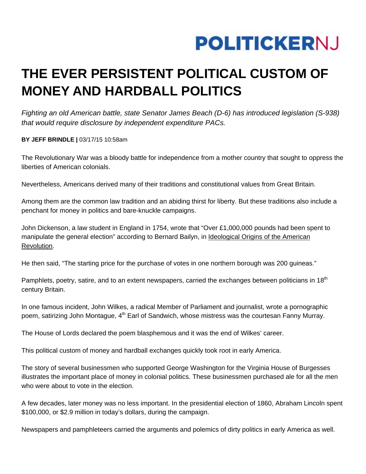## **POLITICKERNJ**

## **THE EVER PERSISTENT POLITICAL CUSTOM OF MONEY AND HARDBALL POLITICS**

*Fighting an old American battle, state Senator James Beach (D-6) has introduced legislation (S-938) that would require disclosure by independent expenditure PACs.* 

**BY JEFF BRINDLE |** 03/17/15 10:58am

The Revolutionary War was a bloody battle for independence from a mother country that sought to oppress the liberties of American colonials.

Nevertheless, Americans derived many of their traditions and constitutional values from Great Britain.

Among them are the common law tradition and an abiding thirst for liberty. But these traditions also include a penchant for money in politics and bare-knuckle campaigns.

John Dickenson, a law student in England in 1754, wrote that "Over £1,000,000 pounds had been spent to manipulate the general election" according to Bernard Bailyn, in Ideological Origins of the American Revolution.

He then said, "The starting price for the purchase of votes in one northern borough was 200 guineas."

Pamphlets, poetry, satire, and to an extent newspapers, carried the exchanges between politicians in 18<sup>th</sup> century Britain.

In one famous incident, John Wilkes, a radical Member of Parliament and journalist, wrote a pornographic poem, satirizing John Montague, 4<sup>th</sup> Earl of Sandwich, whose mistress was the courtesan Fanny Murray.

The House of Lords declared the poem blasphemous and it was the end of Wilkes' career.

This political custom of money and hardball exchanges quickly took root in early America.

The story of several businessmen who supported George Washington for the Virginia House of Burgesses illustrates the important place of money in colonial politics. These businessmen purchased ale for all the men who were about to vote in the election.

A few decades, later money was no less important. In the presidential election of 1860, Abraham Lincoln spent \$100,000, or \$2.9 million in today's dollars, during the campaign.

Newspapers and pamphleteers carried the arguments and polemics of dirty politics in early America as well.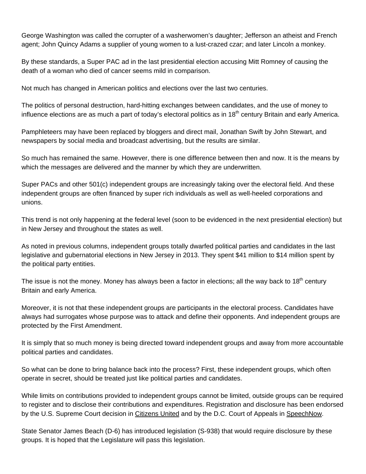George Washington was called the corrupter of a washerwomen's daughter; Jefferson an atheist and French agent; John Quincy Adams a supplier of young women to a lust-crazed czar; and later Lincoln a monkey.

By these standards, a Super PAC ad in the last presidential election accusing Mitt Romney of causing the death of a woman who died of cancer seems mild in comparison.

Not much has changed in American politics and elections over the last two centuries.

The politics of personal destruction, hard-hitting exchanges between candidates, and the use of money to influence elections are as much a part of today's electoral politics as in 18<sup>th</sup> century Britain and early America.

Pamphleteers may have been replaced by bloggers and direct mail, Jonathan Swift by John Stewart, and newspapers by social media and broadcast advertising, but the results are similar.

So much has remained the same. However, there is one difference between then and now. It is the means by which the messages are delivered and the manner by which they are underwritten.

Super PACs and other 501(c) independent groups are increasingly taking over the electoral field. And these independent groups are often financed by super rich individuals as well as well-heeled corporations and unions.

This trend is not only happening at the federal level (soon to be evidenced in the next presidential election) but in New Jersey and throughout the states as well.

As noted in previous columns, independent groups totally dwarfed political parties and candidates in the last legislative and gubernatorial elections in New Jersey in 2013. They spent \$41 million to \$14 million spent by the political party entities.

The issue is not the money. Money has always been a factor in elections; all the way back to 18<sup>th</sup> century Britain and early America.

Moreover, it is not that these independent groups are participants in the electoral process. Candidates have always had surrogates whose purpose was to attack and define their opponents. And independent groups are protected by the First Amendment.

It is simply that so much money is being directed toward independent groups and away from more accountable political parties and candidates.

So what can be done to bring balance back into the process? First, these independent groups, which often operate in secret, should be treated just like political parties and candidates.

While limits on contributions provided to independent groups cannot be limited, outside groups can be required to register and to disclose their contributions and expenditures. Registration and disclosure has been endorsed by the U.S. Supreme Court decision in Citizens United and by the D.C. Court of Appeals in SpeechNow.

State Senator James Beach (D-6) has introduced legislation (S-938) that would require disclosure by these groups. It is hoped that the Legislature will pass this legislation.